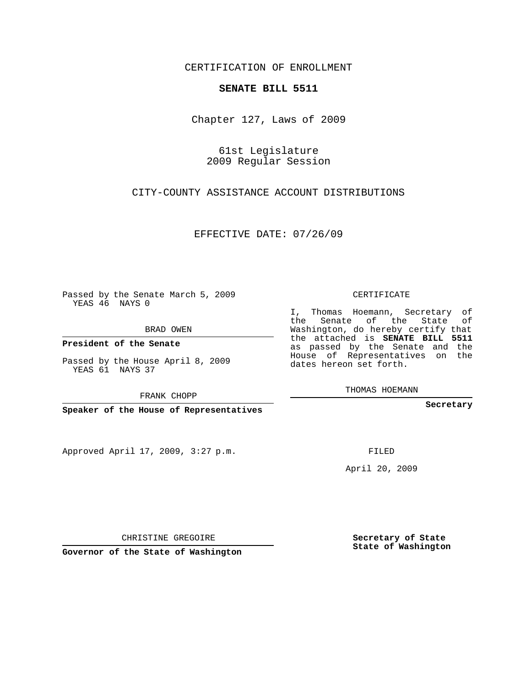## CERTIFICATION OF ENROLLMENT

## **SENATE BILL 5511**

Chapter 127, Laws of 2009

61st Legislature 2009 Regular Session

CITY-COUNTY ASSISTANCE ACCOUNT DISTRIBUTIONS

EFFECTIVE DATE: 07/26/09

Passed by the Senate March 5, 2009 YEAS 46 NAYS 0

BRAD OWEN

**President of the Senate**

Passed by the House April 8, 2009 YEAS 61 NAYS 37

FRANK CHOPP

**Speaker of the House of Representatives**

Approved April 17, 2009, 3:27 p.m.

CERTIFICATE

I, Thomas Hoemann, Secretary of the Senate of the State of Washington, do hereby certify that the attached is **SENATE BILL 5511** as passed by the Senate and the House of Representatives on the dates hereon set forth.

THOMAS HOEMANN

**Secretary**

FILED

April 20, 2009

CHRISTINE GREGOIRE

**Secretary of State State of Washington**

**Governor of the State of Washington**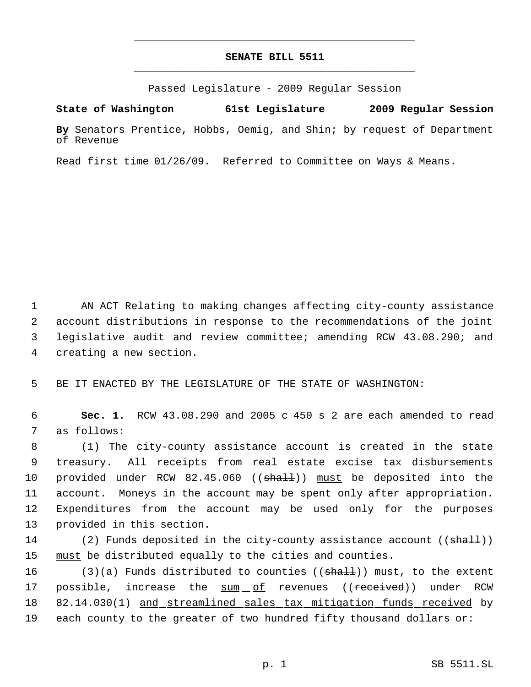## **SENATE BILL 5511** \_\_\_\_\_\_\_\_\_\_\_\_\_\_\_\_\_\_\_\_\_\_\_\_\_\_\_\_\_\_\_\_\_\_\_\_\_\_\_\_\_\_\_\_\_

\_\_\_\_\_\_\_\_\_\_\_\_\_\_\_\_\_\_\_\_\_\_\_\_\_\_\_\_\_\_\_\_\_\_\_\_\_\_\_\_\_\_\_\_\_

Passed Legislature - 2009 Regular Session

**State of Washington 61st Legislature 2009 Regular Session**

**By** Senators Prentice, Hobbs, Oemig, and Shin; by request of Department of Revenue

Read first time 01/26/09. Referred to Committee on Ways & Means.

1 AN ACT Relating to making changes affecting city-county assistance account distributions in response to the recommendations of the joint legislative audit and review committee; amending RCW 43.08.290; and creating a new section.

5 BE IT ENACTED BY THE LEGISLATURE OF THE STATE OF WASHINGTON:

 6 **Sec. 1.** RCW 43.08.290 and 2005 c 450 s 2 are each amended to read 7 as follows:

 (1) The city-county assistance account is created in the state treasury. All receipts from real estate excise tax disbursements 10 provided under RCW 82.45.060 ((shall)) must be deposited into the account. Moneys in the account may be spent only after appropriation. Expenditures from the account may be used only for the purposes provided in this section.

14 (2) Funds deposited in the city-county assistance account ((shall)) 15 must be distributed equally to the cities and counties.

16 (3)(a) Funds distributed to counties (( $\frac{1}{n+1}$ )) must, to the extent 17 possible, increase the sum of revenues ((<del>received</del>)) under RCW 18 82.14.030(1) and streamlined sales tax mitigation funds received by 19 each county to the greater of two hundred fifty thousand dollars or: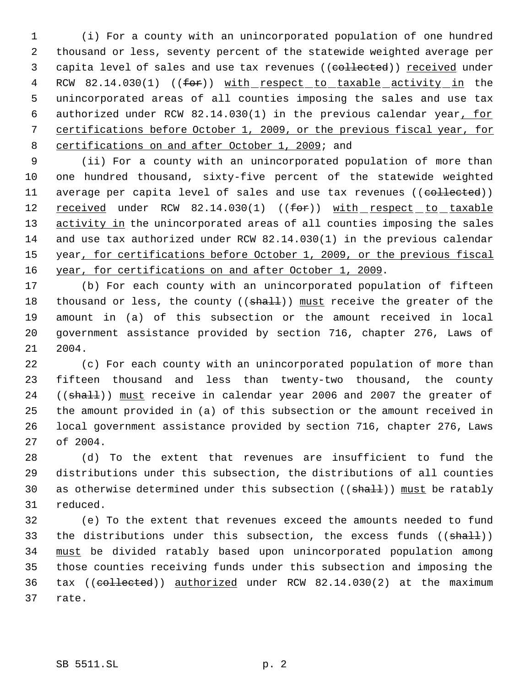(i) For a county with an unincorporated population of one hundred thousand or less, seventy percent of the statewide weighted average per 3 capita level of sales and use tax revenues ((collected)) received under 4 RCW 82.14.030(1) ((for)) with respect to taxable activity in the unincorporated areas of all counties imposing the sales and use tax authorized under RCW 82.14.030(1) in the previous calendar year, for certifications before October 1, 2009, or the previous fiscal year, for 8 certifications on and after October 1, 2009; and

 (ii) For a county with an unincorporated population of more than one hundred thousand, sixty-five percent of the statewide weighted 11 average per capita level of sales and use tax revenues ((collected)) 12 received under RCW 82.14.030(1) ((for)) with respect to taxable 13 activity in the unincorporated areas of all counties imposing the sales and use tax authorized under RCW 82.14.030(1) in the previous calendar 15 year, for certifications before October 1, 2009, or the previous fiscal 16 year, for certifications on and after October 1, 2009.

 (b) For each county with an unincorporated population of fifteen 18 thousand or less, the county ((shall)) must receive the greater of the amount in (a) of this subsection or the amount received in local government assistance provided by section 716, chapter 276, Laws of 2004.

 (c) For each county with an unincorporated population of more than fifteen thousand and less than twenty-two thousand, the county 24 ((shall)) must receive in calendar year 2006 and 2007 the greater of the amount provided in (a) of this subsection or the amount received in local government assistance provided by section 716, chapter 276, Laws of 2004.

 (d) To the extent that revenues are insufficient to fund the distributions under this subsection, the distributions of all counties 30 as otherwise determined under this subsection ((shall)) must be ratably reduced.

 (e) To the extent that revenues exceed the amounts needed to fund 33 the distributions under this subsection, the excess funds  $((shall))$  must be divided ratably based upon unincorporated population among those counties receiving funds under this subsection and imposing the 36 tax ((collected)) authorized under RCW 82.14.030(2) at the maximum rate.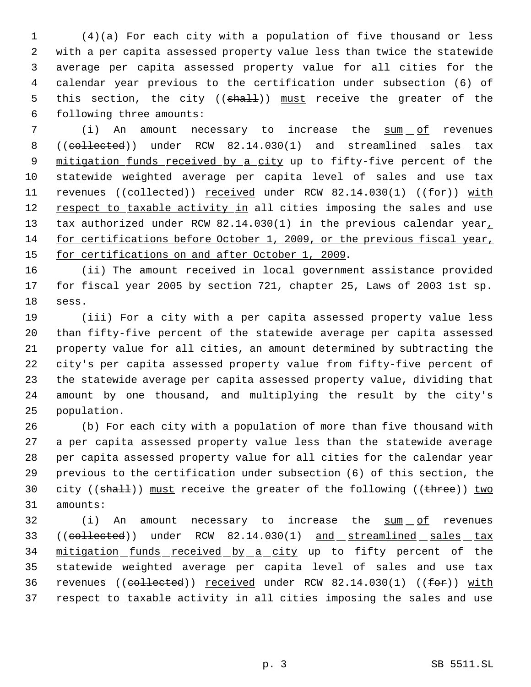(4)(a) For each city with a population of five thousand or less with a per capita assessed property value less than twice the statewide average per capita assessed property value for all cities for the calendar year previous to the certification under subsection (6) of 5 this section, the city ((shall)) must receive the greater of the following three amounts:

 (i) An amount necessary to increase the sum of revenues 8 ((collected)) under RCW 82.14.030(1) and streamlined sales tax 9 mitigation funds received by a city up to fifty-five percent of the statewide weighted average per capita level of sales and use tax 11 revenues ((collected)) received under RCW 82.14.030(1) ((for)) with 12 respect to taxable activity in all cities imposing the sales and use 13 tax authorized under RCW 82.14.030(1) in the previous calendar year, for certifications before October 1, 2009, or the previous fiscal year, 15 for certifications on and after October 1, 2009.

 (ii) The amount received in local government assistance provided for fiscal year 2005 by section 721, chapter 25, Laws of 2003 1st sp. sess.

 (iii) For a city with a per capita assessed property value less than fifty-five percent of the statewide average per capita assessed property value for all cities, an amount determined by subtracting the city's per capita assessed property value from fifty-five percent of the statewide average per capita assessed property value, dividing that amount by one thousand, and multiplying the result by the city's population.

 (b) For each city with a population of more than five thousand with a per capita assessed property value less than the statewide average per capita assessed property value for all cities for the calendar year previous to the certification under subsection (6) of this section, the 30 city ((shall)) must receive the greater of the following ((three)) two amounts:

32 (i) An amount necessary to increase the sum of revenues 33 ((collected)) under RCW 82.14.030(1) and streamlined sales tax 34 mitigation funds received by a city up to fifty percent of the statewide weighted average per capita level of sales and use tax revenues ((collected)) received under RCW 82.14.030(1) ((for)) with 37 respect to taxable activity in all cities imposing the sales and use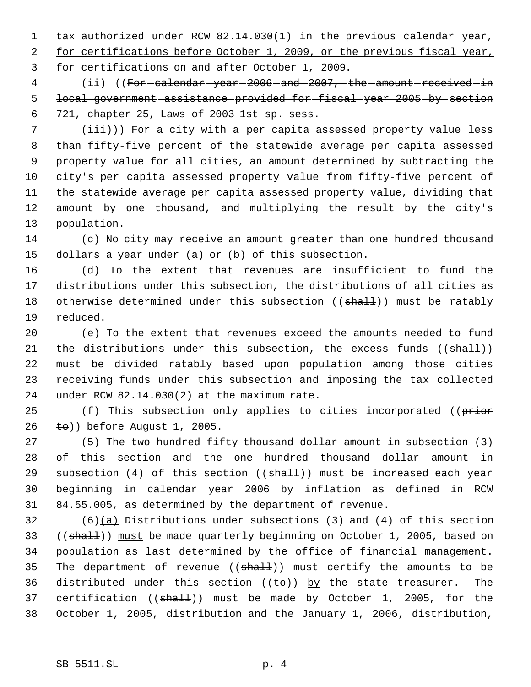1 tax authorized under RCW 82.14.030(1) in the previous calendar year 2 for certifications before October 1, 2009, or the previous fiscal year, for certifications on and after October 1, 2009.

4 (ii) ((For-calendar-year-2006-and-2007,-the-amount-received-in local government assistance provided for fiscal year 2005 by section 721, chapter 25, Laws of 2003 1st sp. sess.

7 (iii))) For a city with a per capita assessed property value less than fifty-five percent of the statewide average per capita assessed property value for all cities, an amount determined by subtracting the city's per capita assessed property value from fifty-five percent of the statewide average per capita assessed property value, dividing that amount by one thousand, and multiplying the result by the city's population.

 (c) No city may receive an amount greater than one hundred thousand dollars a year under (a) or (b) of this subsection.

 (d) To the extent that revenues are insufficient to fund the distributions under this subsection, the distributions of all cities as 18 otherwise determined under this subsection ((shall)) must be ratably reduced.

 (e) To the extent that revenues exceed the amounts needed to fund 21 the distributions under this subsection, the excess funds ((shall)) must be divided ratably based upon population among those cities receiving funds under this subsection and imposing the tax collected under RCW 82.14.030(2) at the maximum rate.

25 (f) This subsection only applies to cities incorporated ((prior  $\leftarrow$   $\leftarrow$   $\leftarrow$   $\leftarrow$   $\leftarrow$   $\leftarrow$   $\leftarrow$   $\leftarrow$   $\leftarrow$   $\leftarrow$   $\leftarrow$   $\leftarrow$   $\leftarrow$   $\leftarrow$   $\leftarrow$   $\leftarrow$   $\leftarrow$   $\leftarrow$   $\leftarrow$   $\leftarrow$   $\leftarrow$   $\leftarrow$   $\leftarrow$   $\leftarrow$   $\leftarrow$   $\leftarrow$   $\leftarrow$   $\leftarrow$   $\leftarrow$   $\leftarrow$   $\leftarrow$   $\leftarrow$   $\leftarrow$   $\leftarrow$   $\leftarrow$   $\leftarrow$ 

 (5) The two hundred fifty thousand dollar amount in subsection (3) of this section and the one hundred thousand dollar amount in 29 subsection (4) of this section (( $shall$ )) must be increased each year beginning in calendar year 2006 by inflation as defined in RCW 84.55.005, as determined by the department of revenue.

 (6)(a) Distributions under subsections (3) and (4) of this section 33 ((shall)) must be made quarterly beginning on October 1, 2005, based on population as last determined by the office of financial management. 35 The department of revenue  $((shall))$  must certify the amounts to be 36 distributed under this section  $((\pm \Theta))$  by the state treasurer. The 37 certification ((shall)) must be made by October 1, 2005, for the October 1, 2005, distribution and the January 1, 2006, distribution,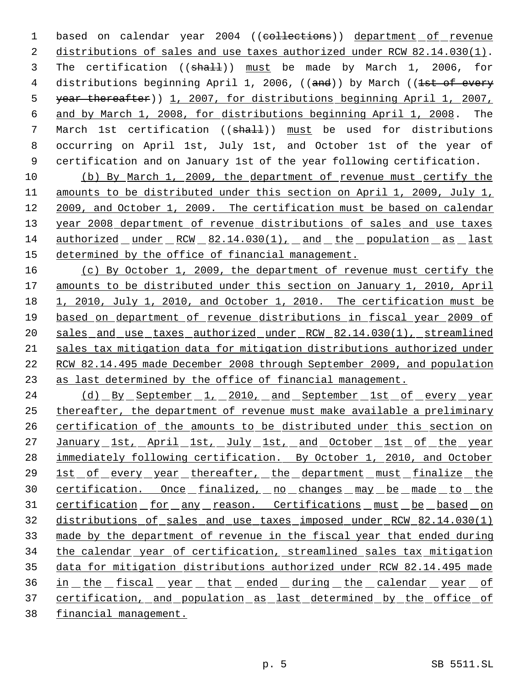1 based on calendar year 2004 ((collections)) department of revenue distributions of sales and use taxes authorized under RCW 82.14.030(1). 3 The certification ((shall)) must be made by March 1, 2006, for 4 distributions beginning April 1, 2006, ((and)) by March ((<del>lst of every</del> year thereafter)) 1, 2007, for distributions beginning April 1, 2007, and by March 1, 2008, for distributions beginning April 1, 2008. The 7 March 1st certification ((shall)) must be used for distributions occurring on April 1st, July 1st, and October 1st of the year of certification and on January 1st of the year following certification.

 (b) By March 1, 2009, the department of revenue must certify the amounts to be distributed under this section on April 1, 2009, July 1, 2009, and October 1, 2009. The certification must be based on calendar 13 year 2008 department of revenue distributions of sales and use taxes authorized under RCW 82.14.030(1), and the population as last determined by the office of financial management.

 (c) By October 1, 2009, the department of revenue must certify the amounts to be distributed under this section on January 1, 2010, April 1, 2010, July 1, 2010, and October 1, 2010. The certification must be based on department of revenue distributions in fiscal year 2009 of 20 sales and use taxes authorized under RCW 82.14.030(1), streamlined sales tax mitigation data for mitigation distributions authorized under RCW 82.14.495 made December 2008 through September 2009, and population as last determined by the office of financial management.

24 (d) By September 1, 2010, and September 1st of every year thereafter, the department of revenue must make available a preliminary 26 certification of the amounts to be distributed under this section on 27 January 1st, April 1st, July 1st, and October 1st of the year immediately following certification. By October 1, 2010, and October 29 1st of every year thereafter, the department must finalize the 30 certification. Once finalized, no changes may be made to the 31 certification for any reason. Certifications must be based on distributions of sales and use taxes imposed under RCW 82.14.030(1) made by the department of revenue in the fiscal year that ended during the calendar year of certification, streamlined sales tax mitigation data for mitigation distributions authorized under RCW 82.14.495 made in the fiscal year that ended during the calendar year of certification, and population as last determined by the office of financial management.